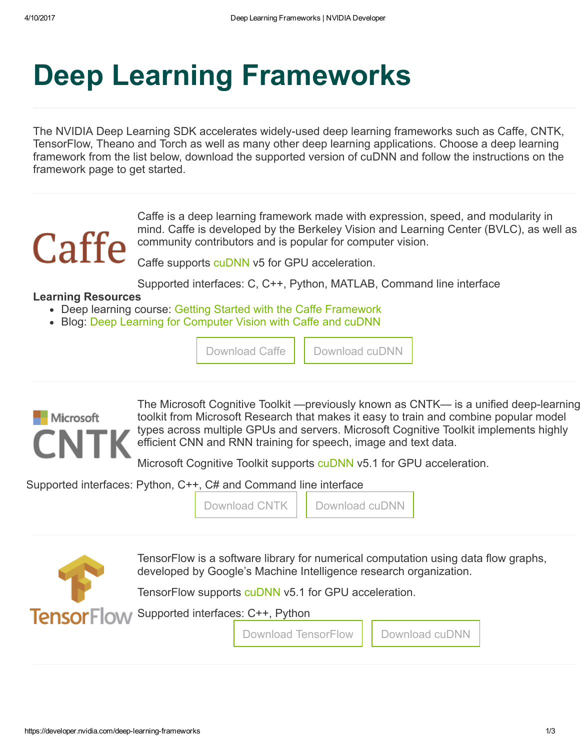## Deep Learning Frameworks

The NVIDIA Deep Learning SDK accelerates widely-used deep learning frameworks such as Caffe, CNTK, TensorFlow, Theano and Torch as well as many other deep learning applications. Choose a deep learning framework from the list below, download the supported version of cuDNN and follow the instructions on the framework page to get started.

# Caffe

Caffe is a deep learning framework made with expression, speed, and modularity in mind. Caffe is developed by the Berkeley Vision and Learning Center (BVLC), as well as community contributors and is popular for computer vision.

Caffe supports [cuDNN](https://developer.nvidia.com/cudnn) v5 for GPU acceleration.

Supported interfaces: C, C++, Python, MATLAB, Command line interface

[Download](https://developer.nvidia.com/cudnn) Caffe | Download cuDNN

#### Learning Resources

- Deep learning course: Getting Started with the Caffe [Framework](https://developer.nvidia.com/deep-learning-courses)
- Blog: Deep Learning for [Computer](https://devblogs.nvidia.com/parallelforall/deep-learning-computer-vision-caffe-cudnn/) Vision with Caffe and cuDNN



The Microsoft Cognitive Toolkit —previously known as CNTK— is a unified deep-learning toolkit from Microsoft Research that makes it easy to train and combine popular model types across multiple GPUs and servers. Microsoft Cognitive Toolkit implements highly efficient CNN and RNN training for speech, image and text data.

Microsoft Cognitive Toolkit supports [cuDNN](https://developer.nvidia.com/cudnn) v5.1 for GPU acceleration.

Supported interfaces: Python, C++, C# and Command line interface

[Download](https://developer.nvidia.com/cudnn) CNTK | | Download cuDNN



TensorFlow is a software library for numerical computation using data flow graphs, developed by Google's Machine Intelligence research organization.

TensorFlow supports [cuDNN](https://developer.nvidia.com/cudnn) v5.1 for GPU acceleration.

Supported interfaces: C++, Python

Download [TensorFlow](http://www.nvidia.com/object/gpu-accelerated-applications-tensorflow-installation.html) | [Download](https://developer.nvidia.com/cudnn) cuDNN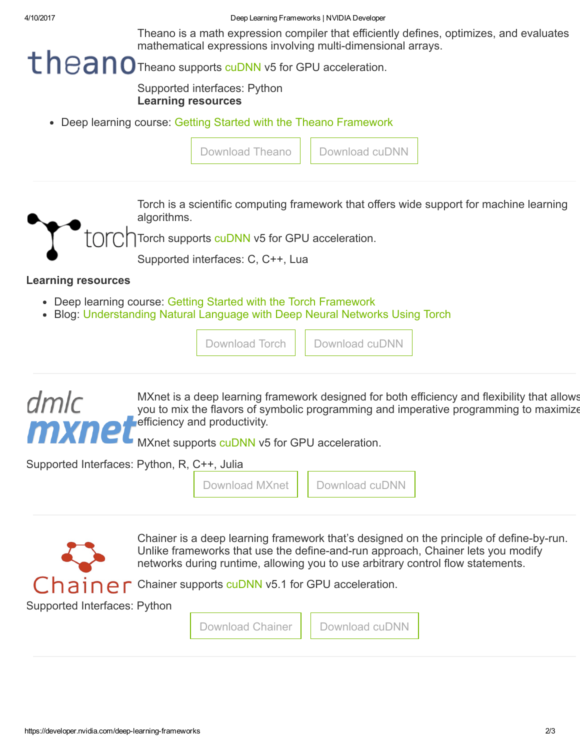4/10/2017 Deep Learning Frameworks | NVIDIA Developer

Theano is a math expression compiler that efficiently defines, optimizes, and evaluates mathematical expressions involving multi-dimensional arrays.

### theano supports [cuDNN](https://developer.nvidia.com/cudnn) v5 for GPU acceleration.

Supported interfaces: Python Learning resources

Deep learning course: Getting Started with the Theano [Framework](https://developer.nvidia.com/deep-learning-courses)

| Download Theano   Download cuDNN |                                                                                         |
|----------------------------------|-----------------------------------------------------------------------------------------|
|                                  | Torch is a scientific computing framework that offers wide support for machine learning |

algorithms.

Torch supports [cuDNN](https://developer.nvidia.com/cudnn) v5 for GPU acceleration.

Supported interfaces: C, C++, Lua

#### Learning resources

- Deep learning course: Getting Started with the Torch [Framework](https://developer.nvidia.com/deep-learning-frameworks)
- Blog: [Understanding](https://devblogs.nvidia.com/parallelforall/understanding-natural-language-deep-neural-networks-using-torch/) Natural Language with Deep Neural Networks Using Torch

|  | Download cuDNN |  | Download Torch |  |
|--|----------------|--|----------------|--|
|--|----------------|--|----------------|--|



MXnet is a deep learning framework designed for both efficiency and flexibility that allows you to mix the flavors of symbolic programming and imperative programming to maximize **Fefficiency and productivity.** 

MXnet supports [cuDNN](https://developer.nvidia.com/cudnn) v5 for GPU acceleration.

Supported Interfaces: Python, R, C++, Julia

|  | Download MXnet | Download cuDNN |
|--|----------------|----------------|
|  |                |                |



Chainer is a deep learning framework that's designed on the principle of define-by-run. Unlike frameworks that use the define-and-run approach, Chainer lets you modify networks during runtime, allowing you to use arbitrary control flow statements.

Chainer supports [cuDNN](https://developer.nvidia.com/cudnn) v5.1 for GPU acceleration.

Supported Interfaces: Python

[Download](https://developer.nvidia.com/cudnn) Chainer | | Download cuDNN